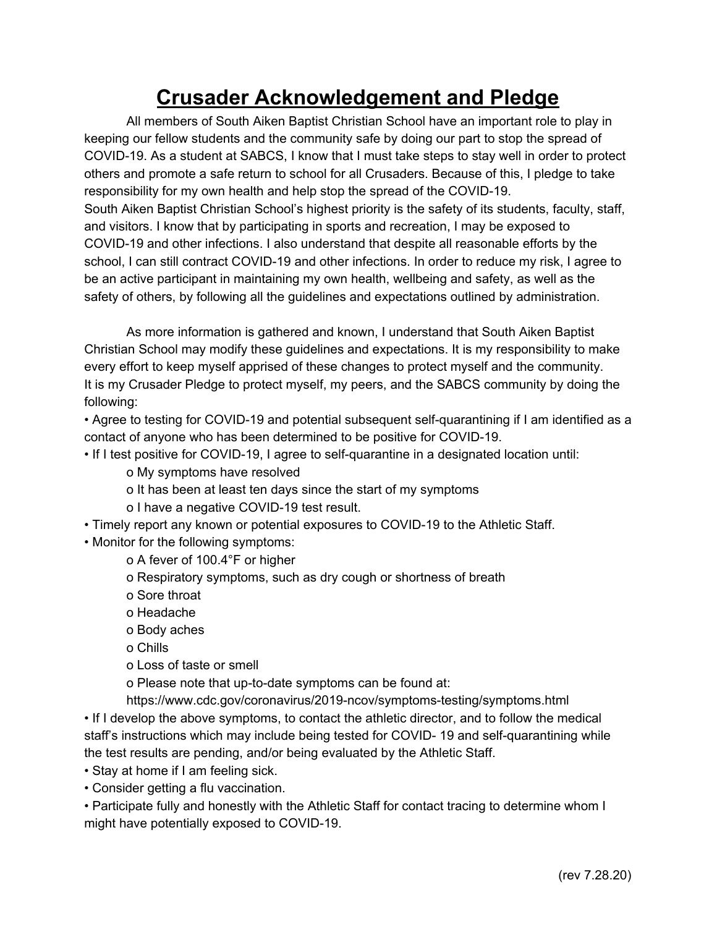## **Crusader Acknowledgement and Pledge**

All members of South Aiken Baptist Christian School have an important role to play in keeping our fellow students and the community safe by doing our part to stop the spread of COVID-19. As a student at SABCS, I know that I must take steps to stay well in order to protect others and promote a safe return to school for all Crusaders. Because of this, I pledge to take responsibility for my own health and help stop the spread of the COVID-19. South Aiken Baptist Christian School's highest priority is the safety of its students, faculty, staff, and visitors. I know that by participating in sports and recreation, I may be exposed to COVID-19 and other infections. I also understand that despite all reasonable efforts by the school, I can still contract COVID-19 and other infections. In order to reduce my risk, I agree to be an active participant in maintaining my own health, wellbeing and safety, as well as the safety of others, by following all the guidelines and expectations outlined by administration.

As more information is gathered and known, I understand that South Aiken Baptist Christian School may modify these guidelines and expectations. It is my responsibility to make every effort to keep myself apprised of these changes to protect myself and the community. It is my Crusader Pledge to protect myself, my peers, and the SABCS community by doing the following:

• Agree to testing for COVID-19 and potential subsequent self-quarantining if I am identified as a contact of anyone who has been determined to be positive for COVID-19.

- If I test positive for COVID-19, I agree to self-quarantine in a designated location until:
	- o My symptoms have resolved
	- o It has been at least ten days since the start of my symptoms
	- o I have a negative COVID-19 test result.
- Timely report any known or potential exposures to COVID-19 to the Athletic Staff.
- Monitor for the following symptoms:
	- o A fever of 100.4°F or higher
	- o Respiratory symptoms, such as dry cough or shortness of breath
	- o Sore throat
	- o Headache
	- o Body aches
	- o Chills
	- o Loss of taste or smell
	- o Please note that up-to-date symptoms can be found at:
	- https://www.cdc.gov/coronavirus/2019-ncov/symptoms-testing/symptoms.html

• If I develop the above symptoms, to contact the athletic director, and to follow the medical staff's instructions which may include being tested for COVID- 19 and self-quarantining while the test results are pending, and/or being evaluated by the Athletic Staff.

- Stay at home if I am feeling sick.
- Consider getting a flu vaccination.

• Participate fully and honestly with the Athletic Staff for contact tracing to determine whom I might have potentially exposed to COVID-19.